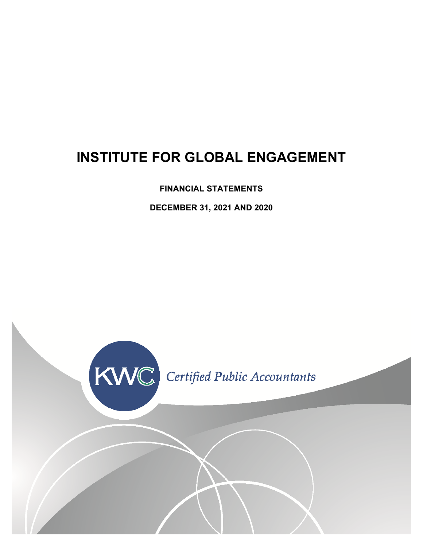# **INSTITUTE FOR GLOBAL ENGAGEMENT**

**FINANCIAL STATEMENTS**

**DECEMBER 31, 2021 AND 2020**

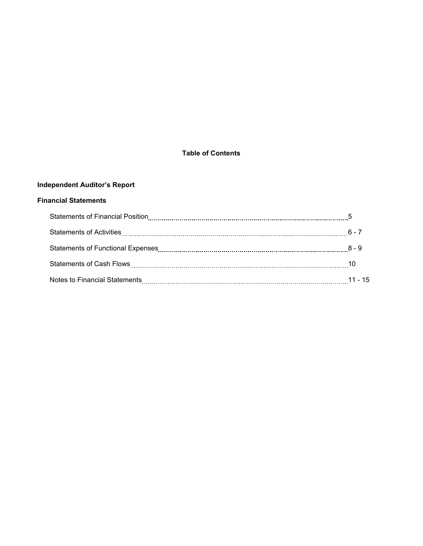# **Table of Contents**

# **Independent Auditor's Report**

### **Financial Statements**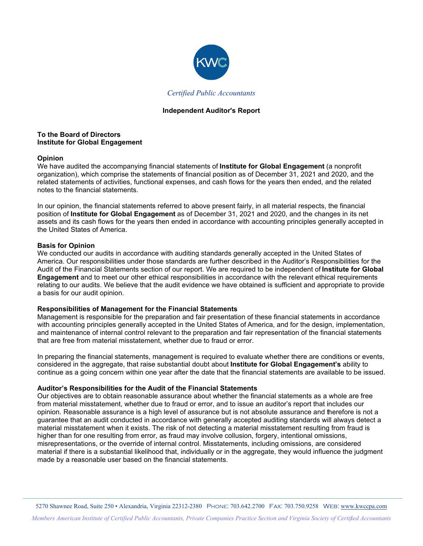

# **Independent Auditor's Report**

#### **To the Board of Directors Institute for Global Engagement**

#### **Opinion**

We have audited the accompanying financial statements of **Institute for Global Engagement** (a nonprofit organization), which comprise the statements of financial position as of December 31, 2021 and 2020, and the related statements of activities, functional expenses, and cash flows for the years then ended, and the related notes to the financial statements.

In our opinion, the financial statements referred to above present fairly, in all material respects, the financial position of **Institute for Global Engagement** as of December 31, 2021 and 2020, and the changes in its net assets and its cash flows for the years then ended in accordance with accounting principles generally accepted in the United States of America.

# **Basis for Opinion**

We conducted our audits in accordance with auditing standards generally accepted in the United States of America. Our responsibilities under those standards are further described in the Auditor's Responsibilities for the Audit of the Financial Statements section of our report. We are required to be independent of **Institute for Global Engagement** and to meet our other ethical responsibilities in accordance with the relevant ethical requirements relating to our audits. We believe that the audit evidence we have obtained is sufficient and appropriate to provide a basis for our audit opinion.

#### **Responsibilities of Management for the Financial Statements**

Management is responsible for the preparation and fair presentation of these financial statements in accordance with accounting principles generally accepted in the United States of America, and for the design, implementation, and maintenance of internal control relevant to the preparation and fair representation of the financial statements that are free from material misstatement, whether due to fraud or error.

In preparing the financial statements, management is required to evaluate whether there are conditions or events, considered in the aggregate, that raise substantial doubt about **Institute for Global Engagement's** ability to continue as a going concern within one year after the date that the financial statements are available to be issued.

# **Auditor's Responsibilities for the Audit of the Financial Statements**

Our objectives are to obtain reasonable assurance about whether the financial statements as a whole are free from material misstatement, whether due to fraud or error, and to issue an auditor's report that includes our opinion. Reasonable assurance is a high level of assurance but is not absolute assurance and therefore is not a guarantee that an audit conducted in accordance with generally accepted auditing standards will always detect a material misstatement when it exists. The risk of not detecting a material misstatement resulting from fraud is higher than for one resulting from error, as fraud may involve collusion, forgery, intentional omissions, misrepresentations, or the override of internal control. Misstatements, including omissions, are considered material if there is a substantial likelihood that, individually or in the aggregate, they would influence the judgment made by a reasonable user based on the financial statements.

*Members American Institute of Certified Public Accountants, Private Companies Practice Section and Virginia Society of Certified Accountants*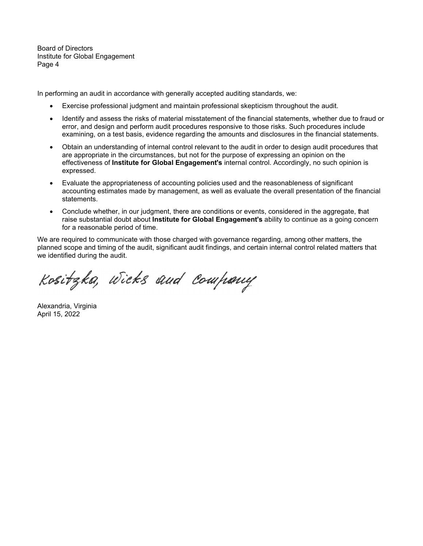Board of Directors Institute for Global Engagement Page 4

In performing an audit in accordance with generally accepted auditing standards, we:

- Exercise professional judgment and maintain professional skepticism throughout the audit.
- Identify and assess the risks of material misstatement of the financial statements, whether due to fraud or error, and design and perform audit procedures responsive to those risks. Such procedures include examining, on a test basis, evidence regarding the amounts and disclosures in the financial statements.
- Obtain an understanding of internal control relevant to the audit in order to design audit procedures that are appropriate in the circumstances, but not for the purpose of expressing an opinion on the effectiveness of **Institute for Global Engagement's** internal control. Accordingly, no such opinion is expressed.
- Evaluate the appropriateness of accounting policies used and the reasonableness of significant accounting estimates made by management, as well as evaluate the overall presentation of the financial statements.
- Conclude whether, in our judgment, there are conditions or events, considered in the aggregate, that raise substantial doubt about **Institute for Global Engagement's** ability to continue as a going concern for a reasonable period of time.

We are required to communicate with those charged with governance regarding, among other matters, the planned scope and timing of the audit, significant audit findings, and certain internal control related matters that we identified during the audit.

Kositzka, Wicks and Company

Alexandria, Virginia April 15, 2022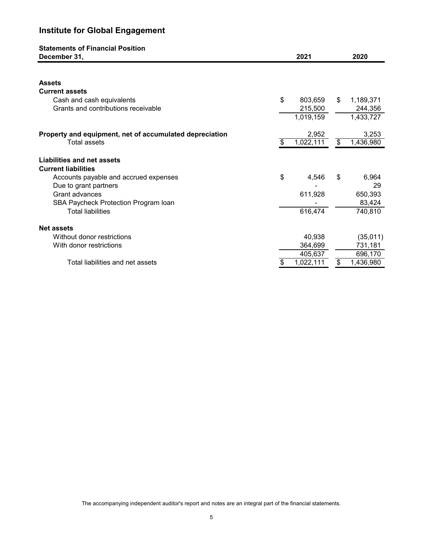# **Statements of Financial Position**

| December 31,                                             | 2021            | 2020            |
|----------------------------------------------------------|-----------------|-----------------|
|                                                          |                 |                 |
| <b>Assets</b>                                            |                 |                 |
| <b>Current assets</b>                                    |                 |                 |
| Cash and cash equivalents                                | \$<br>803,659   | \$<br>1,189,371 |
| Grants and contributions receivable                      | 215,500         | 244,356         |
|                                                          | 1,019,159       | 1,433,727       |
| Property and equipment, net of accumulated depreciation  | 2,952           | 3,253           |
| Total assets                                             | \$<br>1,022,111 | \$<br>1,436,980 |
| Liabilities and net assets<br><b>Current liabilities</b> |                 |                 |
| Accounts payable and accrued expenses                    | \$<br>4,546     | \$<br>6,964     |
| Due to grant partners                                    |                 | 29              |
| Grant advances                                           | 611,928         | 650,393         |
| SBA Paycheck Protection Program Ioan                     |                 | 83,424          |
| <b>Total liabilities</b>                                 | 616,474         | 740,810         |
| <b>Net assets</b>                                        |                 |                 |
| Without donor restrictions                               | 40,938          | (35,011)        |
| With donor restrictions                                  | 364,699         | 731,181         |
|                                                          | 405,637         | 696,170         |
| Total liabilities and net assets                         | \$<br>1,022,111 | \$<br>1,436,980 |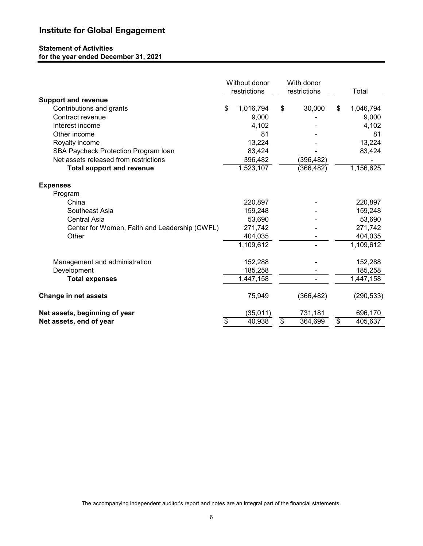# **Statement of Activities for the year ended December 31, 2021**

|                                               | Without donor<br>restrictions |                          | With donor<br>restrictions |                          | Total      |
|-----------------------------------------------|-------------------------------|--------------------------|----------------------------|--------------------------|------------|
| <b>Support and revenue</b>                    |                               |                          |                            |                          |            |
| Contributions and grants                      | \$<br>1,016,794               | \$                       | 30,000                     | \$                       | 1,046,794  |
| Contract revenue                              | 9,000                         |                          |                            |                          | 9,000      |
| Interest income                               | 4,102                         |                          |                            |                          | 4,102      |
| Other income                                  | 81                            |                          |                            |                          | 81         |
| Royalty income                                | 13,224                        |                          |                            |                          | 13,224     |
| SBA Paycheck Protection Program Ioan          | 83,424                        |                          |                            |                          | 83,424     |
| Net assets released from restrictions         | 396,482                       |                          | (396,482)                  |                          |            |
| <b>Total support and revenue</b>              | 1,523,107                     |                          | (366, 482)                 |                          | 1,156,625  |
| <b>Expenses</b><br>Program                    |                               |                          |                            |                          |            |
| China                                         | 220,897                       |                          |                            |                          | 220,897    |
| Southeast Asia                                | 159,248                       |                          |                            |                          | 159,248    |
| <b>Central Asia</b>                           | 53,690                        |                          |                            |                          | 53,690     |
| Center for Women, Faith and Leadership (CWFL) | 271,742                       |                          |                            |                          | 271,742    |
| Other                                         | 404,035                       |                          |                            |                          | 404,035    |
|                                               | 1,109,612                     |                          |                            |                          | 1,109,612  |
| Management and administration                 | 152,288                       |                          |                            |                          | 152,288    |
| Development                                   | 185,258                       |                          |                            |                          | 185,258    |
| <b>Total expenses</b>                         | 1,447,158                     |                          |                            |                          | 1,447,158  |
| <b>Change in net assets</b>                   | 75,949                        |                          | (366, 482)                 |                          | (290, 533) |
| Net assets, beginning of year                 | (35, 011)                     |                          | 731,181                    |                          | 696,170    |
| Net assets, end of year                       | \$<br>40,938                  | $\overline{\mathcal{E}}$ | 364,699                    | $\overline{\mathcal{E}}$ | 405,637    |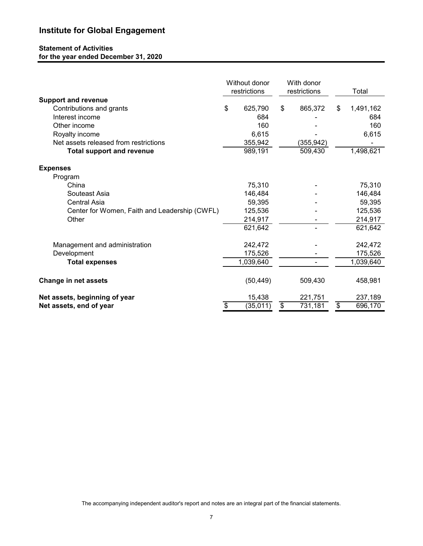# **Statement of Activities for the year ended December 31, 2020**

|                                               | Without donor<br>restrictions |                 | With donor<br>restrictions |                          | Total     |
|-----------------------------------------------|-------------------------------|-----------------|----------------------------|--------------------------|-----------|
| <b>Support and revenue</b>                    |                               |                 |                            |                          |           |
| Contributions and grants                      | \$<br>625,790                 | \$              | 865,372                    | \$                       | 1,491,162 |
| Interest income                               | 684                           |                 |                            |                          | 684       |
| Other income                                  | 160                           |                 |                            |                          | 160       |
| Royalty income                                | 6,615                         |                 |                            |                          | 6,615     |
| Net assets released from restrictions         | 355,942                       |                 | (355, 942)                 |                          |           |
| <b>Total support and revenue</b>              | 989,191                       |                 | 509,430                    |                          | 1,498,621 |
| <b>Expenses</b>                               |                               |                 |                            |                          |           |
| Program                                       |                               |                 |                            |                          |           |
| China                                         | 75,310                        |                 |                            |                          | 75,310    |
| Souteast Asia                                 | 146,484                       |                 |                            |                          | 146,484   |
| Central Asia                                  | 59,395                        |                 |                            |                          | 59,395    |
| Center for Women, Faith and Leadership (CWFL) | 125,536                       |                 |                            |                          | 125,536   |
| Other                                         | 214,917                       |                 |                            |                          | 214,917   |
|                                               | 621,642                       |                 |                            |                          | 621,642   |
| Management and administration                 | 242,472                       |                 |                            |                          | 242,472   |
| Development                                   | 175,526                       |                 |                            |                          | 175,526   |
| <b>Total expenses</b>                         | 1,039,640                     |                 |                            |                          | 1,039,640 |
| Change in net assets                          | (50, 449)                     |                 | 509,430                    |                          | 458,981   |
| Net assets, beginning of year                 | 15,438                        |                 | 221,751                    |                          | 237,189   |
| Net assets, end of year                       | \$<br>(35, 011)               | $\overline{\$}$ | 731,181                    | $\overline{\mathcal{E}}$ | 696,170   |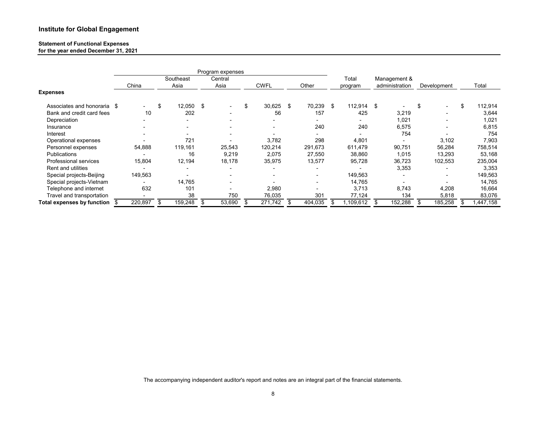# **Statement of Functional Expenses**

**for the year ended December 31, 2021**

|                               |       |                          |                          |      | Program expenses         |                          |                          |                          |     |                |                                |               |
|-------------------------------|-------|--------------------------|--------------------------|------|--------------------------|--------------------------|--------------------------|--------------------------|-----|----------------|--------------------------------|---------------|
|                               |       |                          | Southeast                |      | Central                  |                          |                          | Total                    |     | Management &   |                                |               |
|                               | China |                          | Asia                     |      | Asia                     | <b>CWFL</b>              | Other                    | program                  |     | administration | Development                    | Total         |
| <b>Expenses</b>               |       |                          |                          |      |                          |                          |                          |                          |     |                |                                |               |
| Associates and honoraria \$   |       |                          | \$<br>12,050             | - \$ |                          | \$<br>30,625             | \$<br>70,239             | \$<br>112,914            | -\$ |                | \$<br>$\overline{\phantom{0}}$ | \$<br>112,914 |
| Bank and credit card fees     |       | 10                       | 202                      |      | $\overline{\phantom{0}}$ | 56                       | 157                      | 425                      |     | 3,219          |                                | 3,644         |
| Depreciation                  |       |                          | $\overline{\phantom{0}}$ |      | $\overline{\phantom{0}}$ | $\overline{\phantom{0}}$ | $\overline{\phantom{0}}$ | $\overline{\phantom{0}}$ |     | 1,021          | $\overline{\phantom{0}}$       | 1,021         |
| Insurance                     |       |                          | $\overline{\phantom{0}}$ |      | $\blacksquare$           | $\overline{\phantom{0}}$ | 240                      | 240                      |     | 6,575          | $\overline{\phantom{0}}$       | 6,815         |
| Interest                      |       | $\overline{\phantom{0}}$ | $\overline{\phantom{0}}$ |      | $\overline{\phantom{0}}$ |                          | $\overline{\phantom{0}}$ |                          |     | 754            |                                | 754           |
| Operational expenses          |       |                          | 721                      |      |                          | 3,782                    | 298                      | 4,801                    |     |                | 3,102                          | 7,903         |
| Personnel expenses            |       | 54,888                   | 119,161                  |      | 25,543                   | 120,214                  | 291,673                  | 611,479                  |     | 90,751         | 56,284                         | 758,514       |
| <b>Publications</b>           |       |                          | 16                       |      | 9,219                    | 2,075                    | 27,550                   | 38,860                   |     | 1,015          | 13,293                         | 53,168        |
| Professional services         |       | 15,804                   | 12,194                   |      | 18,178                   | 35,975                   | 13,577                   | 95,728                   |     | 36,723         | 102,553                        | 235,004       |
| <b>Rent and utilities</b>     |       |                          | $\overline{\phantom{0}}$ |      | $\blacksquare$           | $\overline{\phantom{0}}$ | $\overline{\phantom{0}}$ |                          |     | 3,353          | ٠                              | 3,353         |
| Special projects-Beijing      |       | 149,563                  |                          |      |                          | $\overline{\phantom{0}}$ | $\overline{\phantom{0}}$ | 149,563                  |     |                | $\overline{\phantom{0}}$       | 149,563       |
| Special projects-Vietnam      |       |                          | 14,765                   |      | $\overline{\phantom{0}}$ |                          | $\overline{\phantom{0}}$ | 14,765                   |     |                |                                | 14,765        |
| Telephone and internet        |       | 632                      | 101                      |      |                          | 2,980                    |                          | 3,713                    |     | 8,743          | 4,208                          | 16,664        |
| Travel and transportation     |       |                          | 38                       |      | 750                      | 76,035                   | 301                      | 77,124                   |     | 134            | 5,818                          | 83,076        |
| Total expenses by function \$ |       | 220,897                  | 159,248                  |      | 53,690                   | 271,742                  | 404,035                  | ,109,612                 |     | 152,288        | 185,258                        | 1,447,158     |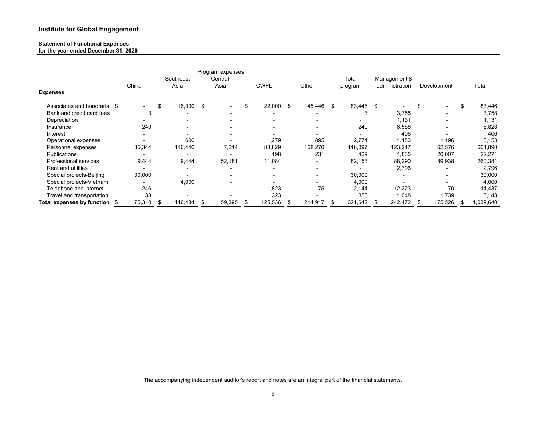# **Statement of Functional Expenses**

**for the year ended December 31, 2020**

|                               |                |                          | Program expenses         |                          |                          |              |                |                                |              |
|-------------------------------|----------------|--------------------------|--------------------------|--------------------------|--------------------------|--------------|----------------|--------------------------------|--------------|
|                               |                | Southeast                | Central                  |                          |                          | Total        | Management &   |                                |              |
|                               | China          | Asia                     | Asia                     | <b>CWFL</b>              | Other                    | program      | administration | Development                    | Total        |
| <b>Expenses</b>               |                |                          |                          |                          |                          |              |                |                                |              |
| Associates and honoraria \$   |                | 16,000<br>\$             | - \$                     | \$<br>22.000             | \$<br>45,446             | 83.446<br>\$ | - \$           | \$<br>$\overline{\phantom{0}}$ | \$<br>83,446 |
| Bank and credit card fees     | 3              | $\overline{\phantom{0}}$ | $\overline{\phantom{0}}$ | $\overline{\phantom{0}}$ |                          | 3            | 3,755          | $\blacksquare$                 | 3,758        |
| Depreciation                  |                | $\overline{\phantom{0}}$ | $\overline{\phantom{0}}$ | $\overline{\phantom{0}}$ |                          |              | 1.131          | $\blacksquare$                 | 1,131        |
| Insurance                     | 240            | $\overline{\phantom{0}}$ | $\overline{\phantom{0}}$ | $\overline{\phantom{0}}$ | $\overline{\phantom{0}}$ | 240          | 6,588          | $\overline{\phantom{0}}$       | 6,828        |
| Interest                      | $\blacksquare$ |                          | $\overline{\phantom{0}}$ |                          |                          |              | 406            |                                | 406          |
| Operational expenses          |                | 600                      |                          | 1,279                    | 895                      | 2,774        | 1,183          | 1,196                          | 5,153        |
| Personnel expenses            | 35,344         | 116,440                  | 7,214                    | 88,829                   | 168,270                  | 416,097      | 123,217        | 62,576                         | 601,890      |
| <b>Publications</b>           |                | $\overline{\phantom{0}}$ |                          | 198                      | 231                      | 429          | 1,835          | 20,007                         | 22,271       |
| Professional services         | 9,444          | 9.444                    | 52,181                   | 11,084                   | $\overline{\phantom{a}}$ | 82,153       | 88,290         | 89,938                         | 260,381      |
| Rent and utilities            |                | $\overline{\phantom{0}}$ | $\overline{\phantom{0}}$ | $\overline{\phantom{0}}$ | $\overline{\phantom{0}}$ |              | 2,796          | $\overline{\phantom{0}}$       | 2,796        |
| Special projects-Beijing      | 30,000         |                          |                          | $\overline{\phantom{0}}$ | $\overline{\phantom{0}}$ | 30,000       | $\blacksquare$ | -                              | 30,000       |
| Special projects-Vietnam      |                | 4,000                    |                          |                          |                          | 4,000        |                |                                | 4,000        |
| Telephone and internet        | 246            |                          |                          | 1,823                    | 75                       | 2.144        | 12,223         | 70                             | 14,437       |
| Travel and transportation     | 33             |                          |                          | 323                      |                          | 356          | 1,048          | ,739                           | 3,143        |
| Total expenses by function \$ | 75,310         | 146,484                  | 59,395<br>\$             | 125,536                  | 214,917                  | 621,642      | 242,472        | 175,526                        | 1,039,640    |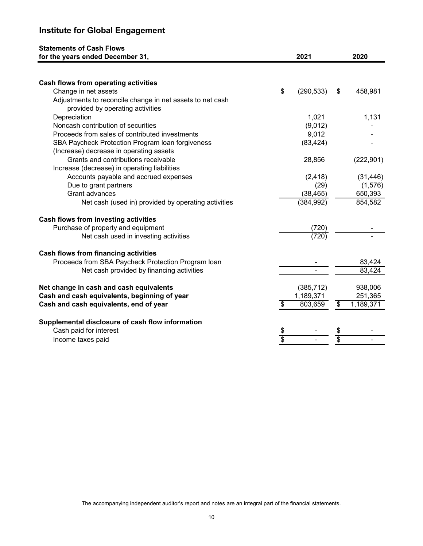# **Statements of Cash Flows for the years ended December 31,**

| Cash flows from operating activities                      |                  |                 |
|-----------------------------------------------------------|------------------|-----------------|
| Change in net assets                                      | \$<br>(290, 533) | \$<br>458,981   |
| Adjustments to reconcile change in net assets to net cash |                  |                 |
| provided by operating activities                          |                  |                 |
| Depreciation                                              | 1,021            | 1,131           |
| Noncash contribution of securities                        | (9,012)          |                 |
| Proceeds from sales of contributed investments            | 9,012            |                 |
| SBA Paycheck Protection Program loan forgiveness          | (83, 424)        |                 |
| (Increase) decrease in operating assets                   |                  |                 |
| Grants and contributions receivable                       | 28,856           | (222, 901)      |
| Increase (decrease) in operating liabilities              |                  |                 |
| Accounts payable and accrued expenses                     | (2, 418)         | (31, 446)       |
| Due to grant partners                                     | (29)             | (1, 576)        |
| <b>Grant advances</b>                                     | (38, 465)        | 650,393         |
| Net cash (used in) provided by operating activities       | (384, 992)       | 854,582         |
| Cash flows from investing activities                      |                  |                 |
| Purchase of property and equipment                        | (720)            |                 |
| Net cash used in investing activities                     | (720)            |                 |
| <b>Cash flows from financing activities</b>               |                  |                 |
| Proceeds from SBA Paycheck Protection Program loan        |                  | 83,424          |
| Net cash provided by financing activities                 |                  | 83,424          |
| Net change in cash and cash equivalents                   | (385, 712)       | 938,006         |
| Cash and cash equivalents, beginning of year              | 1,189,371        | 251,365         |
| Cash and cash equivalents, end of year                    | \$<br>803,659    | \$<br>1,189,371 |
| Supplemental disclosure of cash flow information          |                  |                 |
| Cash paid for interest                                    | \$               |                 |
| Income taxes paid                                         | \$               | \$              |
|                                                           |                  |                 |

**2021 2020**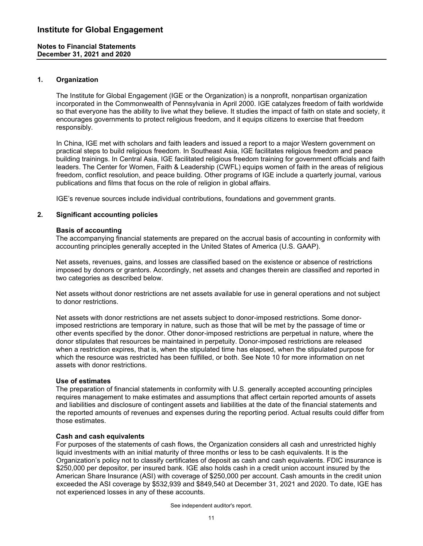# **1. Organization**

The Institute for Global Engagement (IGE or the Organization) is a nonprofit, nonpartisan organization incorporated in the Commonwealth of Pennsylvania in April 2000. IGE catalyzes freedom of faith worldwide so that everyone has the ability to live what they believe. It studies the impact of faith on state and society, it encourages governments to protect religious freedom, and it equips citizens to exercise that freedom responsibly.

In China, IGE met with scholars and faith leaders and issued a report to a major Western government on practical steps to build religious freedom. In Southeast Asia, IGE facilitates religious freedom and peace building trainings. In Central Asia, IGE facilitated religious freedom training for government officials and faith leaders. The Center for Women, Faith & Leadership (CWFL) equips women of faith in the areas of religious freedom, conflict resolution, and peace building. Other programs of IGE include a quarterly journal, various publications and films that focus on the role of religion in global affairs.

IGE's revenue sources include individual contributions, foundations and government grants.

# **2. Significant accounting policies**

#### **Basis of accounting**

The accompanying financial statements are prepared on the accrual basis of accounting in conformity with accounting principles generally accepted in the United States of America (U.S. GAAP).

Net assets, revenues, gains, and losses are classified based on the existence or absence of restrictions imposed by donors or grantors. Accordingly, net assets and changes therein are classified and reported in two categories as described below.

Net assets without donor restrictions are net assets available for use in general operations and not subject to donor restrictions.

Net assets with donor restrictions are net assets subject to donor-imposed restrictions. Some donorimposed restrictions are temporary in nature, such as those that will be met by the passage of time or other events specified by the donor. Other donor-imposed restrictions are perpetual in nature, where the donor stipulates that resources be maintained in perpetuity. Donor-imposed restrictions are released when a restriction expires, that is, when the stipulated time has elapsed, when the stipulated purpose for which the resource was restricted has been fulfilled, or both. See Note 10 for more information on net assets with donor restrictions.

#### **Use of estimates**

The preparation of financial statements in conformity with U.S. generally accepted accounting principles requires management to make estimates and assumptions that affect certain reported amounts of assets and liabilities and disclosure of contingent assets and liabilities at the date of the financial statements and the reported amounts of revenues and expenses during the reporting period. Actual results could differ from those estimates.

#### **Cash and cash equivalents**

For purposes of the statements of cash flows, the Organization considers all cash and unrestricted highly liquid investments with an initial maturity of three months or less to be cash equivalents. It is the Organization's policy not to classify certificates of deposit as cash and cash equivalents. FDIC insurance is \$250,000 per depositor, per insured bank. IGE also holds cash in a credit union account insured by the American Share Insurance (ASI) with coverage of \$250,000 per account. Cash amounts in the credit union exceeded the ASI coverage by \$532,939 and \$849,540 at December 31, 2021 and 2020. To date, IGE has not experienced losses in any of these accounts.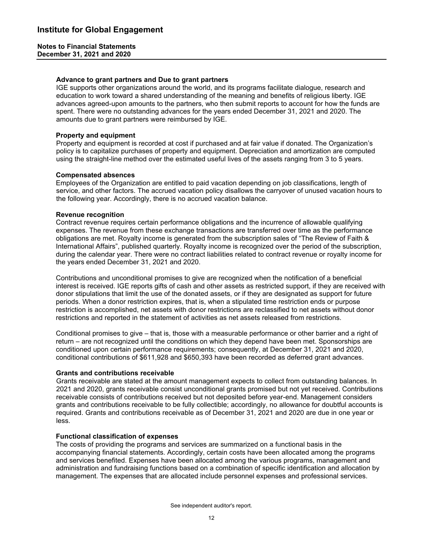# **Advance to grant partners and Due to grant partners**

IGE supports other organizations around the world, and its programs facilitate dialogue, research and education to work toward a shared understanding of the meaning and benefits of religious liberty. IGE advances agreed-upon amounts to the partners, who then submit reports to account for how the funds are spent. There were no outstanding advances for the years ended December 31, 2021 and 2020. The amounts due to grant partners were reimbursed by IGE.

# **Property and equipment**

Property and equipment is recorded at cost if purchased and at fair value if donated. The Organization's policy is to capitalize purchases of property and equipment. Depreciation and amortization are computed using the straight-line method over the estimated useful lives of the assets ranging from 3 to 5 years.

# **Compensated absences**

Employees of the Organization are entitled to paid vacation depending on job classifications, length of service, and other factors. The accrued vacation policy disallows the carryover of unused vacation hours to the following year. Accordingly, there is no accrued vacation balance.

# **Revenue recognition**

Contract revenue requires certain performance obligations and the incurrence of allowable qualifying expenses. The revenue from these exchange transactions are transferred over time as the performance obligations are met. Royalty income is generated from the subscription sales of "The Review of Faith & International Affairs", published quarterly. Royalty income is recognized over the period of the subscription, during the calendar year. There were no contract liabilities related to contract revenue or royalty income for the years ended December 31, 2021 and 2020.

Contributions and unconditional promises to give are recognized when the notification of a beneficial interest is received. IGE reports gifts of cash and other assets as restricted support, if they are received with donor stipulations that limit the use of the donated assets, or if they are designated as support for future periods. When a donor restriction expires, that is, when a stipulated time restriction ends or purpose restriction is accomplished, net assets with donor restrictions are reclassified to net assets without donor restrictions and reported in the statement of activities as net assets released from restrictions.

Conditional promises to give – that is, those with a measurable performance or other barrier and a right of return – are not recognized until the conditions on which they depend have been met. Sponsorships are conditioned upon certain performance requirements; consequently, at December 31, 2021 and 2020, conditional contributions of \$611,928 and \$650,393 have been recorded as deferred grant advances.

#### **Grants and contributions receivable**

Grants receivable are stated at the amount management expects to collect from outstanding balances. In 2021 and 2020, grants receivable consist unconditional grants promised but not yet received. Contributions receivable consists of contributions received but not deposited before year-end. Management considers grants and contributions receivable to be fully collectible; accordingly, no allowance for doubtful accounts is required. Grants and contributions receivable as of December 31, 2021 and 2020 are due in one year or less.

# **Functional classification of expenses**

The costs of providing the programs and services are summarized on a functional basis in the accompanying financial statements. Accordingly, certain costs have been allocated among the programs and services benefited. Expenses have been allocated among the various programs, management and administration and fundraising functions based on a combination of specific identification and allocation by management. The expenses that are allocated include personnel expenses and professional services.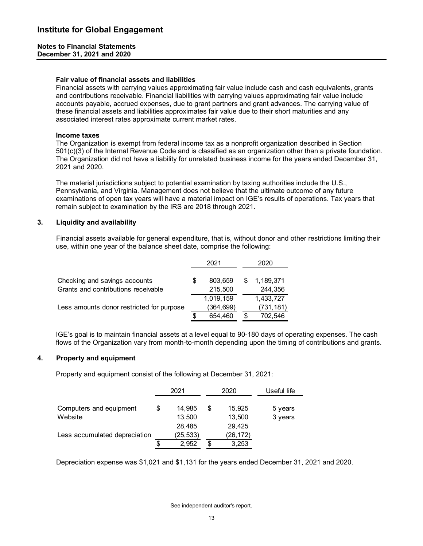# **Fair value of financial assets and liabilities**

Financial assets with carrying values approximating fair value include cash and cash equivalents, grants and contributions receivable. Financial liabilities with carrying values approximating fair value include accounts payable, accrued expenses, due to grant partners and grant advances. The carrying value of these financial assets and liabilities approximates fair value due to their short maturities and any associated interest rates approximate current market rates.

# **Income taxes**

The Organization is exempt from federal income tax as a nonprofit organization described in Section 501(c)(3) of the Internal Revenue Code and is classified as an organization other than a private foundation. The Organization did not have a liability for unrelated business income for the years ended December 31, 2021 and 2020.

The material jurisdictions subject to potential examination by taxing authorities include the U.S., Pennsylvania, and Virginia. Management does not believe that the ultimate outcome of any future examinations of open tax years will have a material impact on IGE's results of operations. Tax years that remain subject to examination by the IRS are 2018 through 2021.

# **3. Liquidity and availability**

Financial assets available for general expenditure, that is, without donor and other restrictions limiting their use, within one year of the balance sheet date, comprise the following:

|                                           |   | 2021       |   | 2020       |
|-------------------------------------------|---|------------|---|------------|
| Checking and savings accounts             | S | 803,659    | S | 1,189,371  |
| Grants and contributions receivable       |   | 215,500    |   | 244.356    |
|                                           |   | 1,019,159  |   | 1,433,727  |
| Less amounts donor restricted for purpose |   | (364, 699) |   | (731, 181) |
|                                           |   | 654,460    |   | 702,546    |

IGE's goal is to maintain financial assets at a level equal to 90-180 days of operating expenses. The cash flows of the Organization vary from month-to-month depending upon the timing of contributions and grants.

#### **4. Property and equipment**

Property and equipment consist of the following at December 31, 2021:

|                               |       | 2021             |    | 2020             | Useful life |
|-------------------------------|-------|------------------|----|------------------|-------------|
| Computers and equipment       | \$    | 14,985           | \$ | 15,925           | 5 years     |
| Website                       |       | 13,500<br>28.485 |    | 13,500<br>29,425 | 3 years     |
| Less accumulated depreciation |       | (25, 533)        |    | (26, 172)        |             |
|                               | 2,952 |                  | S  | 3,253            |             |

Depreciation expense was \$1,021 and \$1,131 for the years ended December 31, 2021 and 2020.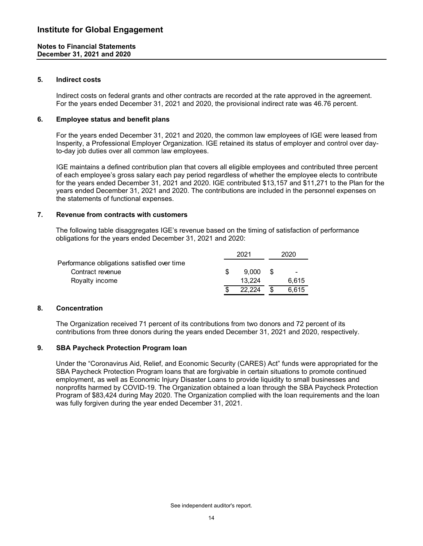# **5. Indirect costs**

Indirect costs on federal grants and other contracts are recorded at the rate approved in the agreement. For the years ended December 31, 2021 and 2020, the provisional indirect rate was 46.76 percent.

# **6. Employee status and benefit plans**

For the years ended December 31, 2021 and 2020, the common law employees of IGE were leased from Insperity, a Professional Employer Organization. IGE retained its status of employer and control over dayto-day job duties over all common law employees.

IGE maintains a defined contribution plan that covers all eligible employees and contributed three percent of each employee's gross salary each pay period regardless of whether the employee elects to contribute for the years ended December 31, 2021 and 2020. IGE contributed \$13,157 and \$11,271 to the Plan for the years ended December 31, 2021 and 2020. The contributions are included in the personnel expenses on the statements of functional expenses.

# **7. Revenue from contracts with customers**

The following table disaggregates IGE's revenue based on the timing of satisfaction of performance obligations for the years ended December 31, 2021 and 2020:

|                                             | 2021 |        |    | 2020                     |  |
|---------------------------------------------|------|--------|----|--------------------------|--|
| Performance obligations satisfied over time |      |        |    |                          |  |
| Contract revenue                            |      | 9.000  | -S | $\overline{\phantom{0}}$ |  |
| Royalty income                              |      | 13.224 |    | 6.615                    |  |
|                                             |      | 22 224 |    | 6.615                    |  |

# **8. Concentration**

The Organization received 71 percent of its contributions from two donors and 72 percent of its contributions from three donors during the years ended December 31, 2021 and 2020, respectively.

#### **9. SBA Paycheck Protection Program loan**

Under the "Coronavirus Aid, Relief, and Economic Security (CARES) Act" funds were appropriated for the SBA Paycheck Protection Program loans that are forgivable in certain situations to promote continued employment, as well as Economic Injury Disaster Loans to provide liquidity to small businesses and nonprofits harmed by COVID-19. The Organization obtained a loan through the SBA Paycheck Protection Program of \$83,424 during May 2020. The Organization complied with the loan requirements and the loan was fully forgiven during the year ended December 31, 2021.